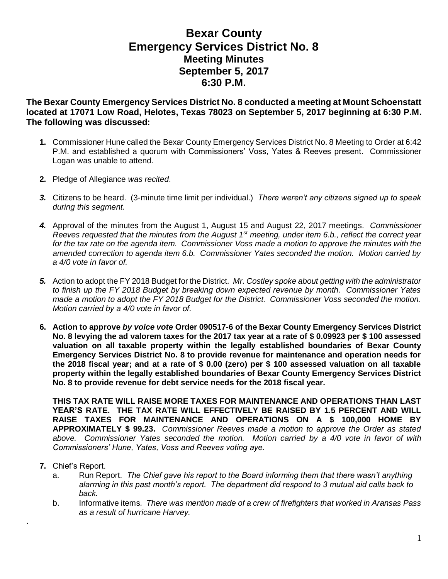## **Bexar County Emergency Services District No. 8 Meeting Minutes September 5, 2017 6:30 P.M.**

**The Bexar County Emergency Services District No. 8 conducted a meeting at Mount Schoenstatt located at 17071 Low Road, Helotes, Texas 78023 on September 5, 2017 beginning at 6:30 P.M. The following was discussed:**

- **1.** Commissioner Hune called the Bexar County Emergency Services District No. 8 Meeting to Order at 6:42 P.M. and established a quorum with Commissioners' Voss, Yates & Reeves present. Commissioner Logan was unable to attend.
- **2.** Pledge of Allegiance *was recited*.
- *3.* Citizens to be heard. (3-minute time limit per individual.) *There weren't any citizens signed up to speak during this segment.*
- *4.* Approval of the minutes from the August 1, August 15 and August 22, 2017 meetings. *Commissioner Reeves requested that the minutes from the August 1st meeting, under item 6.b., reflect the correct year for the tax rate on the agenda item. Commissioner Voss made a motion to approve the minutes with the amended correction to agenda item 6.b. Commissioner Yates seconded the motion. Motion carried by a 4/0 vote in favor of.*
- *5.* Action to adopt the FY 2018 Budget for the District*. Mr. Costley spoke about getting with the administrator to finish up the FY 2018 Budget by breaking down expected revenue by month. Commissioner Yates made a motion to adopt the FY 2018 Budget for the District. Commissioner Voss seconded the motion. Motion carried by a 4/0 vote in favor of.*
- **6. Action to approve** *by voice vote* **Order 090517-6 of the Bexar County Emergency Services District No. 8 levying the ad valorem taxes for the 2017 tax year at a rate of \$ 0.09923 per \$ 100 assessed valuation on all taxable property within the legally established boundaries of Bexar County Emergency Services District No. 8 to provide revenue for maintenance and operation needs for the 2018 fiscal year; and at a rate of \$ 0.00 (zero) per \$ 100 assessed valuation on all taxable property within the legally established boundaries of Bexar County Emergency Services District No. 8 to provide revenue for debt service needs for the 2018 fiscal year.**

**THIS TAX RATE WILL RAISE MORE TAXES FOR MAINTENANCE AND OPERATIONS THAN LAST YEAR'S RATE. THE TAX RATE WILL EFFECTIVELY BE RAISED BY 1.5 PERCENT AND WILL RAISE TAXES FOR MAINTENANCE AND OPERATIONS ON A \$ 100,000 HOME BY APPROXIMATELY \$ 99.23.** *Commissioner Reeves made a motion to approve the Order as stated above. Commissioner Yates seconded the motion. Motion carried by a 4/0 vote in favor of with Commissioners' Hune, Yates, Voss and Reeves voting aye.*

**7.** Chief's Report.

.

- a. Run Report. *The Chief gave his report to the Board informing them that there wasn't anything alarming in this past month's report. The department did respond to 3 mutual aid calls back to back.*
- b. Informative items*. There was mention made of a crew of firefighters that worked in Aransas Pass as a result of hurricane Harvey.*